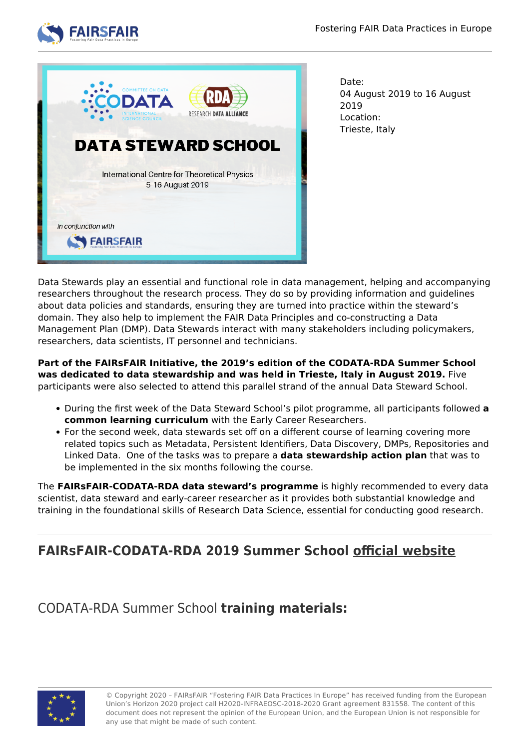



Date: 04 August 2019 to 16 August 2019 Location: Trieste, Italy

Data Stewards play an essential and functional role in data management, helping and accompanying researchers throughout the research process. They do so by providing information and guidelines about data policies and standards, ensuring they are turned into practice within the steward's domain. They also help to implement the FAIR Data Principles and co-constructing a Data Management Plan (DMP). Data Stewards interact with many stakeholders including policymakers, researchers, data scientists, IT personnel and technicians.

**Part of the FAIRsFAIR Initiative, the 2019's edition of the CODATA-RDA Summer School was dedicated to data stewardship and was held in Trieste, Italy in August 2019.** Five participants were also selected to attend this parallel strand of the annual Data Steward School.

- During the first week of the Data Steward School's pilot programme, all participants followed **a common learning curriculum** with the Early Career Researchers.
- For the second week, data stewards set off on a different course of learning covering more related topics such as Metadata, Persistent Identifiers, Data Discovery, DMPs, Repositories and Linked Data. One of the tasks was to prepare a **data stewardship action plan** that was to be implemented in the six months following the course.

The **FAIRsFAIR-CODATA-RDA data steward's programme** is highly recommended to every data scientist, data steward and early-career researcher as it provides both substantial knowledge and training in the foundational skills of Research Data Science, essential for conducting good research.

## **FAIRsFAIR-CODATA-RDA 2019 Summer School [official website](http://codata-rda-datascienceschools.github.io/DataSteward/)**

CODATA-RDA Summer School **training materials:**